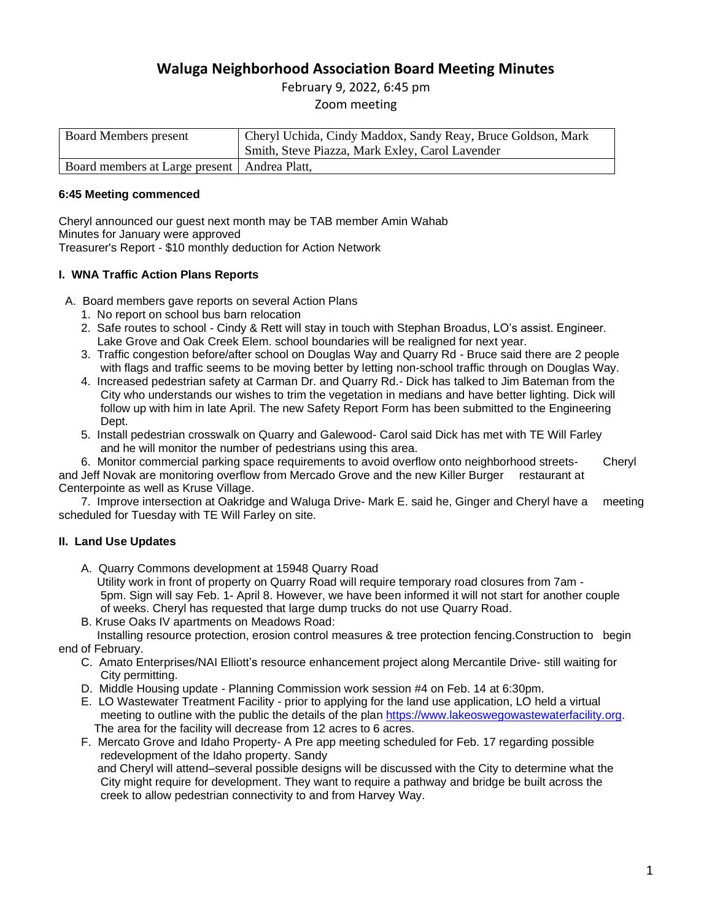# **Waluga Neighborhood Association Board Meeting Minutes**

February 9, 2022, 6:45 pm Zoom meeting

| <b>Board Members present</b>                   | Cheryl Uchida, Cindy Maddox, Sandy Reay, Bruce Goldson, Mark |
|------------------------------------------------|--------------------------------------------------------------|
|                                                | Smith, Steve Piazza, Mark Exley, Carol Lavender              |
| Board members at Large present   Andrea Platt, |                                                              |

### **6:45 Meeting commenced**

Cheryl announced our guest next month may be TAB member Amin Wahab Minutes for January were approved Treasurer's Report - \$10 monthly deduction for Action Network

## **I. WNA Traffic Action Plans Reports**

- A. Board members gave reports on several Action Plans
	- 1. No report on school bus barn relocation
	- 2. Safe routes to school Cindy & Rett will stay in touch with Stephan Broadus, LO's assist. Engineer. Lake Grove and Oak Creek Elem. school boundaries will be realigned for next year.
	- 3. Traffic congestion before/after school on Douglas Way and Quarry Rd Bruce said there are 2 people with flags and traffic seems to be moving better by letting non-school traffic through on Douglas Way.
	- 4. Increased pedestrian safety at Carman Dr. and Quarry Rd.- Dick has talked to Jim Bateman from the City who understands our wishes to trim the vegetation in medians and have better lighting. Dick will follow up with him in late April. The new Safety Report Form has been submitted to the Engineering Dept.
	- 5. Install pedestrian crosswalk on Quarry and Galewood- Carol said Dick has met with TE Will Farley and he will monitor the number of pedestrians using this area.

 6. Monitor commercial parking space requirements to avoid overflow onto neighborhood streets- Cheryl and Jeff Novak are monitoring overflow from Mercado Grove and the new Killer Burger restaurant at Centerpointe as well as Kruse Village.

 7. Improve intersection at Oakridge and Waluga Drive- Mark E. said he, Ginger and Cheryl have a meeting scheduled for Tuesday with TE Will Farley on site.

## **II. Land Use Updates**

- A. Quarry Commons development at 15948 Quarry Road
	- Utility work in front of property on Quarry Road will require temporary road closures from 7am 5pm. Sign will say Feb. 1- April 8. However, we have been informed it will not start for another couple of weeks. Cheryl has requested that large dump trucks do not use Quarry Road.
- B. Kruse Oaks IV apartments on Meadows Road:

 Installing resource protection, erosion control measures & tree protection fencing.Construction to begin end of February.

- C. Amato Enterprises/NAI Elliott's resource enhancement project along Mercantile Drive- still waiting for City permitting.
- D. Middle Housing update Planning Commission work session #4 on Feb. 14 at 6:30pm.
- E. LO Wastewater Treatment Facility prior to applying for the land use application, LO held a virtual meeting to outline with the public the details of the plan [https://www.lakeoswegowastewaterfacility.org.](https://www.lakeoswegowastewaterfacility.org/) The area for the facility will decrease from 12 acres to 6 acres.
- F. Mercato Grove and Idaho Property- A Pre app meeting scheduled for Feb. 17 regarding possible redevelopment of the Idaho property. Sandy and Cheryl will attend–several possible designs will be discussed with the City to determine what the

City might require for development. They want to require a pathway and bridge be built across the creek to allow pedestrian connectivity to and from Harvey Way.